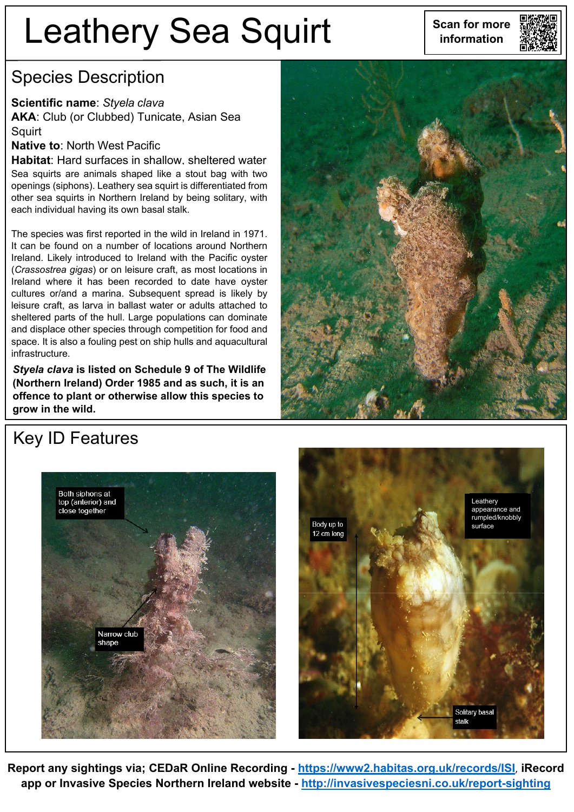# Leathery Sea Squirt **Super Sean for more**



### Species Description

#### **Scientific name**: *Styela clava*

**AKA**: Club (or Clubbed) Tunicate, Asian Sea **Squirt** 

#### **Native to**: North West Pacific

**Habitat**: Hard surfaces in shallow, sheltered water Sea squirts are animals shaped like a stout bag with two openings (siphons). Leathery sea squirt is differentiated from other sea squirts in Northern Ireland by being solitary, with each individual having its own basal stalk.

The species was first reported in the wild in Ireland in 1971. It can be found on a number of locations around Northern Ireland. Likely introduced to Ireland with the Pacific oyster (*Crassostrea gigas*) or on leisure craft, as most locations in Ireland where it has been recorded to date have oyster cultures or/and a marina. Subsequent spread is likely by leisure craft, as larva in ballast water or adults attached to sheltered parts of the hull. Large populations can dominate and displace other species through competition for food and space. It is also a fouling pest on ship hulls and aquacultural infrastructure.

*Styela clava* **is listed on Schedule 9 of The Wildlife (Northern Ireland) Order 1985 and as such, it is an offence to plant or otherwise allow this species to grow in the wild.**



## Key ID Features





**Report any sightings via; CEDaR Online Recording - <https://www2.habitas.org.uk/records/ISI>**, **iRecord app or Invasive Species Northern Ireland website - <http://invasivespeciesni.co.uk/report-sighting>**